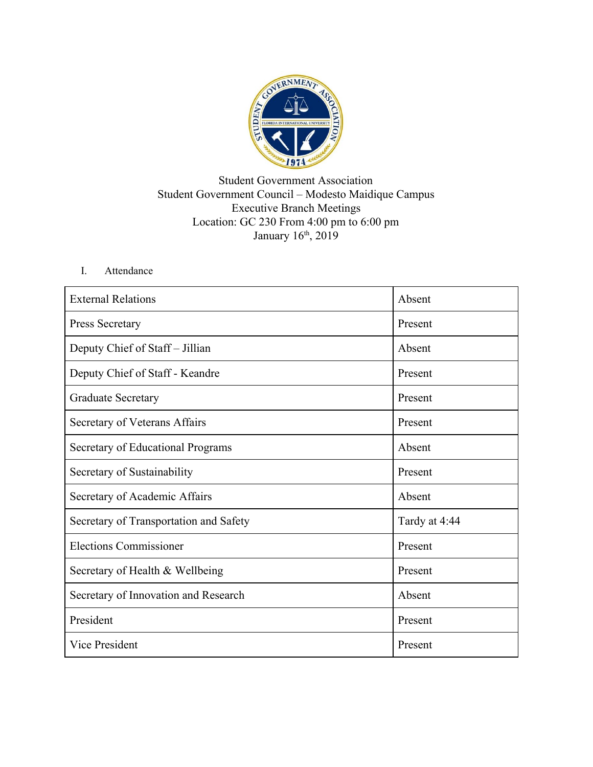

## Student Government Association Student Government Council – Modesto Maidique Campus Executive Branch Meetings Location: GC 230 From 4:00 pm to 6:00 pm January 16<sup>th</sup>, 2019

## I. Attendance

| <b>External Relations</b>              | Absent        |
|----------------------------------------|---------------|
| Press Secretary                        | Present       |
| Deputy Chief of Staff – Jillian        | Absent        |
| Deputy Chief of Staff - Keandre        | Present       |
| <b>Graduate Secretary</b>              | Present       |
| Secretary of Veterans Affairs          | Present       |
| Secretary of Educational Programs      | Absent        |
| Secretary of Sustainability            | Present       |
| Secretary of Academic Affairs          | Absent        |
| Secretary of Transportation and Safety | Tardy at 4:44 |
| <b>Elections Commissioner</b>          | Present       |
| Secretary of Health & Wellbeing        | Present       |
| Secretary of Innovation and Research   | Absent        |
| President                              | Present       |
| <b>Vice President</b>                  | Present       |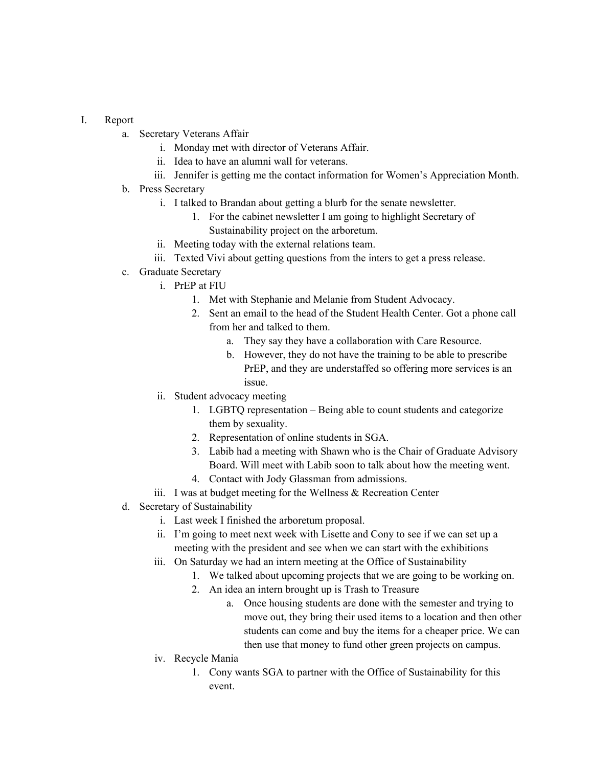## I. Report

- a. Secretary Veterans Affair
	- i. Monday met with director of Veterans Affair.
	- ii. Idea to have an alumni wall for veterans.
	- iii. Jennifer is getting me the contact information for Women's Appreciation Month.
- b. Press Secretary
	- i. I talked to Brandan about getting a blurb for the senate newsletter.
		- 1. For the cabinet newsletter I am going to highlight Secretary of Sustainability project on the arboretum.
	- ii. Meeting today with the external relations team.
	- iii. Texted Vivi about getting questions from the inters to get a press release.

## c. Graduate Secretary

- i. PrEP at FIU
	- 1. Met with Stephanie and Melanie from Student Advocacy.
	- 2. Sent an email to the head of the Student Health Center. Got a phone call from her and talked to them.
		- a. They say they have a collaboration with Care Resource.
		- b. However, they do not have the training to be able to prescribe PrEP, and they are understaffed so offering more services is an issue.
- ii. Student advocacy meeting
	- 1. LGBTQ representation Being able to count students and categorize them by sexuality.
	- 2. Representation of online students in SGA.
	- 3. Labib had a meeting with Shawn who is the Chair of Graduate Advisory Board. Will meet with Labib soon to talk about how the meeting went.
	- 4. Contact with Jody Glassman from admissions.
- iii. I was at budget meeting for the Wellness & Recreation Center
- d. Secretary of Sustainability
	- i. Last week I finished the arboretum proposal.
	- ii. I'm going to meet next week with Lisette and Cony to see if we can set up a meeting with the president and see when we can start with the exhibitions
	- iii. On Saturday we had an intern meeting at the Office of Sustainability
		- 1. We talked about upcoming projects that we are going to be working on.
		- 2. An idea an intern brought up is Trash to Treasure
			- a. Once housing students are done with the semester and trying to move out, they bring their used items to a location and then other students can come and buy the items for a cheaper price. We can then use that money to fund other green projects on campus.
	- iv. Recycle Mania
		- 1. Cony wants SGA to partner with the Office of Sustainability for this event.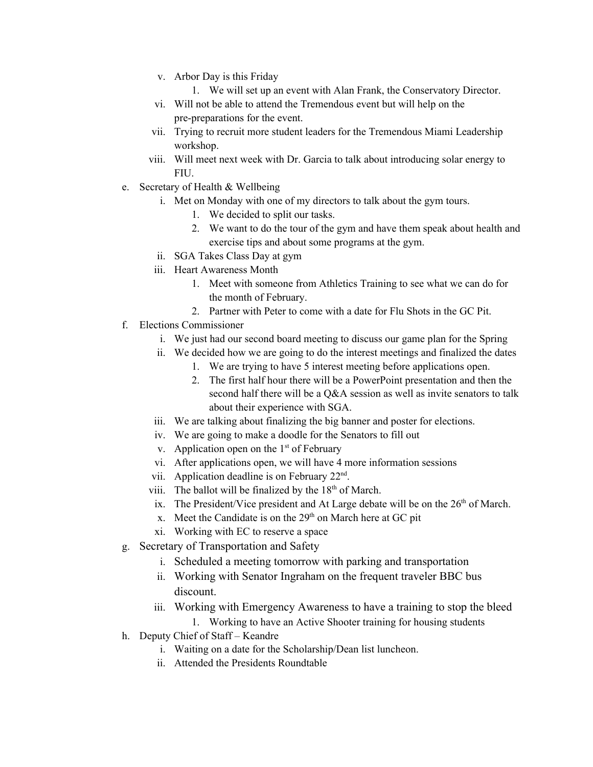- v. Arbor Day is this Friday
	- 1. We will set up an event with Alan Frank, the Conservatory Director.
- vi. Will not be able to attend the Tremendous event but will help on the pre-preparations for the event.
- vii. Trying to recruit more student leaders for the Tremendous Miami Leadership workshop.
- viii. Will meet next week with Dr. Garcia to talk about introducing solar energy to **FIU**
- e. Secretary of Health & Wellbeing
	- i. Met on Monday with one of my directors to talk about the gym tours.
		- 1. We decided to split our tasks.
		- 2. We want to do the tour of the gym and have them speak about health and exercise tips and about some programs at the gym.
	- ii. SGA Takes Class Day at gym
	- iii. Heart Awareness Month
		- 1. Meet with someone from Athletics Training to see what we can do for the month of February.
		- 2. Partner with Peter to come with a date for Flu Shots in the GC Pit.
- f. Elections Commissioner
	- i. We just had our second board meeting to discuss our game plan for the Spring
	- ii. We decided how we are going to do the interest meetings and finalized the dates
		- 1. We are trying to have 5 interest meeting before applications open.
		- 2. The first half hour there will be a PowerPoint presentation and then the second half there will be a O&A session as well as invite senators to talk about their experience with SGA.
	- iii. We are talking about finalizing the big banner and poster for elections.
	- iv. We are going to make a doodle for the Senators to fill out
	- v. Application open on the  $1<sup>st</sup>$  of February
	- vi. After applications open, we will have 4 more information sessions
	- vii. Application deadline is on February  $22<sup>nd</sup>$ .
	- viii. The ballot will be finalized by the  $18<sup>th</sup>$  of March.
	- ix. The President/Vice president and At Large debate will be on the  $26<sup>th</sup>$  of March.
	- x. Meet the Candidate is on the  $29<sup>th</sup>$  on March here at GC pit
	- xi. Working with EC to reserve a space
- g. Secretary of Transportation and Safety
	- i. Scheduled a meeting tomorrow with parking and transportation
	- ii. Working with Senator Ingraham on the frequent traveler BBC bus discount.
	- iii. Working with Emergency Awareness to have a training to stop the bleed 1. Working to have an Active Shooter training for housing students
- h. Deputy Chief of Staff Keandre
	- i. Waiting on a date for the Scholarship/Dean list luncheon.
	- ii. Attended the Presidents Roundtable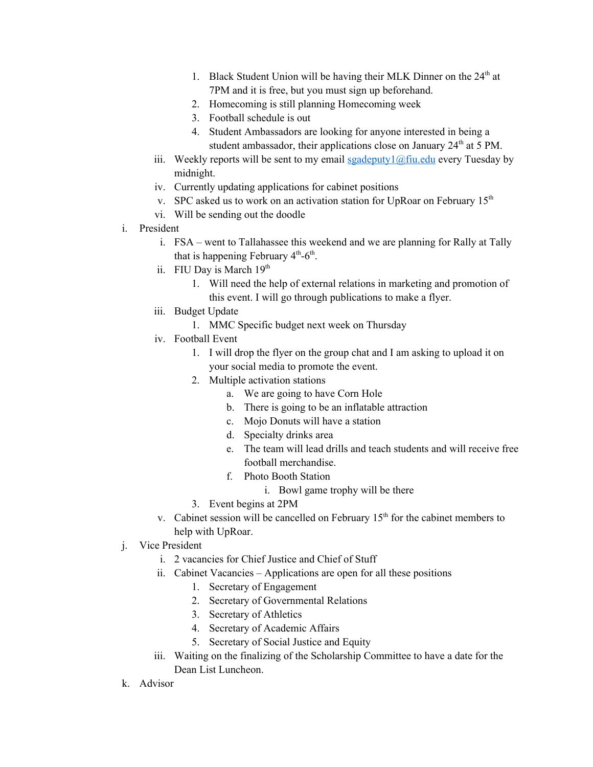- 1. Black Student Union will be having their MLK Dinner on the 24<sup>th</sup> at 7PM and it is free, but you must sign up beforehand.
- 2. Homecoming is still planning Homecoming week
- 3. Football schedule is out
- 4. Student Ambassadors are looking for anyone interested in being a student ambassador, their applications close on January  $24<sup>th</sup>$  at 5 PM.
- iii. Weekly reports will be sent to my email sgadeputy  $1/\omega$  fiu.edu every Tuesday by midnight.
- iv. Currently updating applications for cabinet positions
- v. SPC asked us to work on an activation station for UpRoar on February  $15<sup>th</sup>$
- vi. Will be sending out the doodle
- i. President
	- i. FSA went to Tallahassee this weekend and we are planning for Rally at Tally that is happening February  $4<sup>th</sup>$ -6<sup>th</sup>.
	- ii. FIU Day is March 19<sup>th</sup>
		- 1. Will need the help of external relations in marketing and promotion of this event. I will go through publications to make a flyer.
	- iii. Budget Update
		- 1. MMC Specific budget next week on Thursday
	- iv. Football Event
		- 1. I will drop the flyer on the group chat and I am asking to upload it on your social media to promote the event.
		- 2. Multiple activation stations
			- a. We are going to have Corn Hole
			- b. There is going to be an inflatable attraction
			- c. Mojo Donuts will have a station
			- d. Specialty drinks area
			- e. The team will lead drills and teach students and will receive free football merchandise.
			- f. Photo Booth Station
				- i. Bowl game trophy will be there
		- 3. Event begins at 2PM
	- v. Cabinet session will be cancelled on February  $15<sup>th</sup>$  for the cabinet members to help with UpRoar.
- j. Vice President
	- i. 2 vacancies for Chief Justice and Chief of Stuff
	- ii. Cabinet Vacancies Applications are open for all these positions
		- 1. Secretary of Engagement
		- 2. Secretary of Governmental Relations
		- 3. Secretary of Athletics
		- 4. Secretary of Academic Affairs
		- 5. Secretary of Social Justice and Equity
	- iii. Waiting on the finalizing of the Scholarship Committee to have a date for the Dean List Luncheon.
- k. Advisor